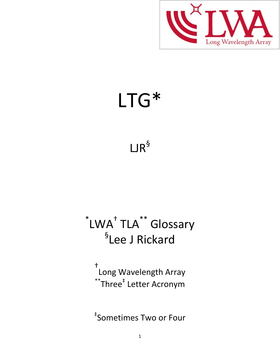

## LTG\*

## $LJR^{\$}$

## \*LWA<sup>+</sup> TLA<sup>\*\*</sup> Glossary § Lee J Rickard

† Long Wavelength Array  $\displaystyle{^\text{*}}$ Three $\displaystyle{^\text{*}}$  Letter Acronym

‡ Sometimes Two or Four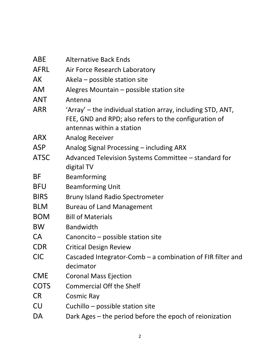| ABE         | <b>Alternative Back Ends</b>                                                                                                                      |
|-------------|---------------------------------------------------------------------------------------------------------------------------------------------------|
| <b>AFRL</b> | Air Force Research Laboratory                                                                                                                     |
| AK          | Akela – possible station site                                                                                                                     |
| <b>AM</b>   | Alegres Mountain - possible station site                                                                                                          |
| <b>ANT</b>  | Antenna                                                                                                                                           |
| <b>ARR</b>  | 'Array' – the individual station array, including STD, ANT,<br>FEE, GND and RPD; also refers to the configuration of<br>antennas within a station |
| <b>ARX</b>  | <b>Analog Receiver</b>                                                                                                                            |
| <b>ASP</b>  | Analog Signal Processing – including ARX                                                                                                          |
| <b>ATSC</b> | Advanced Television Systems Committee – standard for<br>digital TV                                                                                |
| BF          | Beamforming                                                                                                                                       |
| <b>BFU</b>  | <b>Beamforming Unit</b>                                                                                                                           |
| <b>BIRS</b> | <b>Bruny Island Radio Spectrometer</b>                                                                                                            |
| <b>BLM</b>  | <b>Bureau of Land Management</b>                                                                                                                  |
| <b>BOM</b>  | <b>Bill of Materials</b>                                                                                                                          |
| <b>BW</b>   | <b>Bandwidth</b>                                                                                                                                  |
| <b>CA</b>   | Canoncito - possible station site                                                                                                                 |
| <b>CDR</b>  | <b>Critical Design Review</b>                                                                                                                     |
| <b>CIC</b>  | Cascaded Integrator-Comb $-$ a combination of FIR filter and<br>decimator                                                                         |
| <b>CME</b>  | <b>Coronal Mass Ejection</b>                                                                                                                      |
| <b>COTS</b> | <b>Commercial Off the Shelf</b>                                                                                                                   |
| <b>CR</b>   | Cosmic Ray                                                                                                                                        |
| CU          | Cuchillo - possible station site                                                                                                                  |
| DA          | Dark Ages – the period before the epoch of reionization                                                                                           |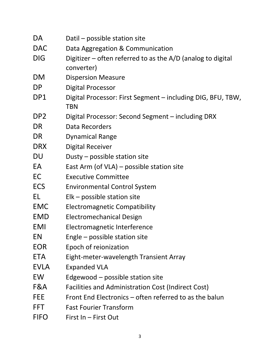| DA              | Datil – possible station site                                               |
|-----------------|-----------------------------------------------------------------------------|
| <b>DAC</b>      | Data Aggregation & Communication                                            |
| <b>DIG</b>      | Digitizer $-$ often referred to as the A/D (analog to digital<br>converter) |
| <b>DM</b>       | <b>Dispersion Measure</b>                                                   |
| DP.             | <b>Digital Processor</b>                                                    |
| DP1             | Digital Processor: First Segment – including DIG, BFU, TBW,<br>TBN          |
| DP <sub>2</sub> | Digital Processor: Second Segment – including DRX                           |
| DR              | Data Recorders                                                              |
| DR              | <b>Dynamical Range</b>                                                      |
| <b>DRX</b>      | <b>Digital Receiver</b>                                                     |
| DU              | Dusty – possible station site                                               |
| EA              | East Arm (of VLA) – possible station site                                   |
| EC              | <b>Executive Committee</b>                                                  |
| <b>ECS</b>      | <b>Environmental Control System</b>                                         |
| EL              | $E$ lk – possible station site                                              |
| <b>EMC</b>      | <b>Electromagnetic Compatibility</b>                                        |
| <b>EMD</b>      | <b>Electromechanical Design</b>                                             |
| <b>EMI</b>      | Electromagnetic Interference                                                |
| EN              | Engle – possible station site                                               |
| <b>EOR</b>      | Epoch of reionization                                                       |
| <b>ETA</b>      | Eight-meter-wavelength Transient Array                                      |
| <b>EVLA</b>     | <b>Expanded VLA</b>                                                         |
| EW              | Edgewood – possible station site                                            |
| F&A             | Facilities and Administration Cost (Indirect Cost)                          |
| FEE             | Front End Electronics – often referred to as the balun                      |
| <b>FFT</b>      | <b>Fast Fourier Transform</b>                                               |
| <b>FIFO</b>     | First In - First Out                                                        |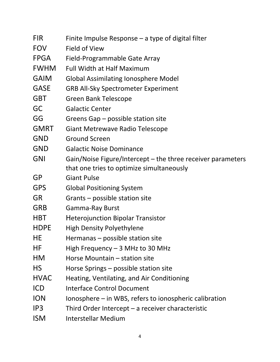| <b>FIR</b>  | Finite Impulse Response $-$ a type of digital filter        |
|-------------|-------------------------------------------------------------|
| <b>FOV</b>  | <b>Field of View</b>                                        |
| <b>FPGA</b> | Field-Programmable Gate Array                               |
| <b>FWHM</b> | <b>Full Width at Half Maximum</b>                           |
| <b>GAIM</b> | <b>Global Assimilating Ionosphere Model</b>                 |
| <b>GASE</b> | <b>GRB All-Sky Spectrometer Experiment</b>                  |
| <b>GBT</b>  | <b>Green Bank Telescope</b>                                 |
| GC          | <b>Galactic Center</b>                                      |
| GG          | Greens Gap – possible station site                          |
| <b>GMRT</b> | <b>Giant Metrewave Radio Telescope</b>                      |
| <b>GND</b>  | <b>Ground Screen</b>                                        |
| <b>GND</b>  | <b>Galactic Noise Dominance</b>                             |
| <b>GNI</b>  | Gain/Noise Figure/Intercept – the three receiver parameters |
|             | that one tries to optimize simultaneously                   |
| <b>GP</b>   | <b>Giant Pulse</b>                                          |
| <b>GPS</b>  | <b>Global Positioning System</b>                            |
| <b>GR</b>   | Grants - possible station site                              |
| <b>GRB</b>  | <b>Gamma-Ray Burst</b>                                      |
| <b>HBT</b>  | <b>Heterojunction Bipolar Transistor</b>                    |
| <b>HDPE</b> | <b>High Density Polyethylene</b>                            |
| HЕ          | Hermanas – possible station site                            |
| ΗF          | High Frequency $-3$ MHz to 30 MHz                           |
| HM          | Horse Mountain - station site                               |
| <b>HS</b>   | Horse Springs – possible station site                       |
| <b>HVAC</b> | Heating, Ventilating, and Air Conditioning                  |
| <b>ICD</b>  | <b>Interface Control Document</b>                           |
| <b>ION</b>  | Ionosphere - in WBS, refers to ionospheric calibration      |
| IP3         | Third Order Intercept $-$ a receiver characteristic         |
| <b>ISM</b>  | Interstellar Medium                                         |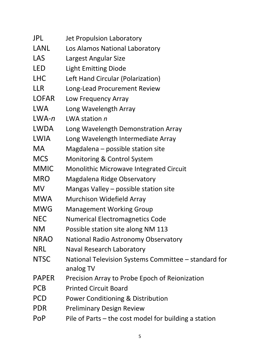| JPL          | Jet Propulsion Laboratory                                         |
|--------------|-------------------------------------------------------------------|
| <b>LANL</b>  | Los Alamos National Laboratory                                    |
| LAS          | Largest Angular Size                                              |
| LED          | <b>Light Emitting Diode</b>                                       |
| <b>LHC</b>   | Left Hand Circular (Polarization)                                 |
| LLR          | Long-Lead Procurement Review                                      |
| <b>LOFAR</b> | Low Frequency Array                                               |
| <b>LWA</b>   | Long Wavelength Array                                             |
| $LWA-n$      | LWA station n                                                     |
| LWDA         | Long Wavelength Demonstration Array                               |
| LWIA         | Long Wavelength Intermediate Array                                |
| MA.          | Magdalena $-$ possible station site                               |
| <b>MCS</b>   | Monitoring & Control System                                       |
| <b>MMIC</b>  | <b>Monolithic Microwave Integrated Circuit</b>                    |
| <b>MRO</b>   | Magdalena Ridge Observatory                                       |
| <b>MV</b>    | Mangas Valley – possible station site                             |
| <b>MWA</b>   | Murchison Widefield Array                                         |
| <b>MWG</b>   | <b>Management Working Group</b>                                   |
| <b>NEC</b>   | <b>Numerical Electromagnetics Code</b>                            |
| ΝM           | Possible station site along NM 113                                |
| <b>NRAO</b>  | National Radio Astronomy Observatory                              |
| <b>NRL</b>   | Naval Research Laboratory                                         |
| <b>NTSC</b>  | National Television Systems Committee – standard for<br>analog TV |
| <b>PAPER</b> | Precision Array to Probe Epoch of Reionization                    |
| <b>PCB</b>   | <b>Printed Circuit Board</b>                                      |
| <b>PCD</b>   | Power Conditioning & Distribution                                 |
| PDR          | <b>Preliminary Design Review</b>                                  |
| PoP          | Pile of Parts $-$ the cost model for building a station           |
|              |                                                                   |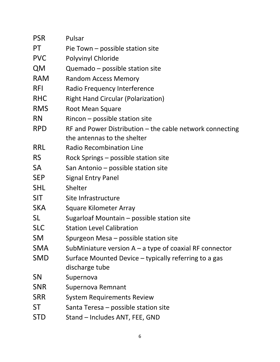| <b>PSR</b> | Pulsar                                                    |
|------------|-----------------------------------------------------------|
| PT         | Pie Town - possible station site                          |
| <b>PVC</b> | <b>Polyvinyl Chloride</b>                                 |
| <b>QM</b>  | Quemado - possible station site                           |
| <b>RAM</b> | <b>Random Access Memory</b>                               |
| <b>RFI</b> | Radio Frequency Interference                              |
| <b>RHC</b> | <b>Right Hand Circular (Polarization)</b>                 |
| <b>RMS</b> | <b>Root Mean Square</b>                                   |
| <b>RN</b>  | $Rincon - possible station site$                          |
| <b>RPD</b> | RF and Power Distribution - the cable network connecting  |
|            | the antennas to the shelter                               |
| <b>RRL</b> | <b>Radio Recombination Line</b>                           |
| RS         | Rock Springs – possible station site                      |
| <b>SA</b>  | San Antonio - possible station site                       |
| <b>SEP</b> | <b>Signal Entry Panel</b>                                 |
| <b>SHL</b> | Shelter                                                   |
| <b>SIT</b> | Site Infrastructure                                       |
| <b>SKA</b> | <b>Square Kilometer Array</b>                             |
| <b>SL</b>  | Sugarloaf Mountain – possible station site                |
| <b>SLC</b> | <b>Station Level Calibration</b>                          |
| SM         | Spurgeon Mesa – possible station site                     |
| <b>SMA</b> | SubMiniature version $A - a$ type of coaxial RF connector |
| <b>SMD</b> | Surface Mounted Device - typically referring to a gas     |
|            | discharge tube                                            |
| <b>SN</b>  | Supernova                                                 |
| <b>SNR</b> | Supernova Remnant                                         |
| <b>SRR</b> | <b>System Requirements Review</b>                         |
| <b>ST</b>  | Santa Teresa – possible station site                      |
| <b>STD</b> | Stand - Includes ANT, FEE, GND                            |